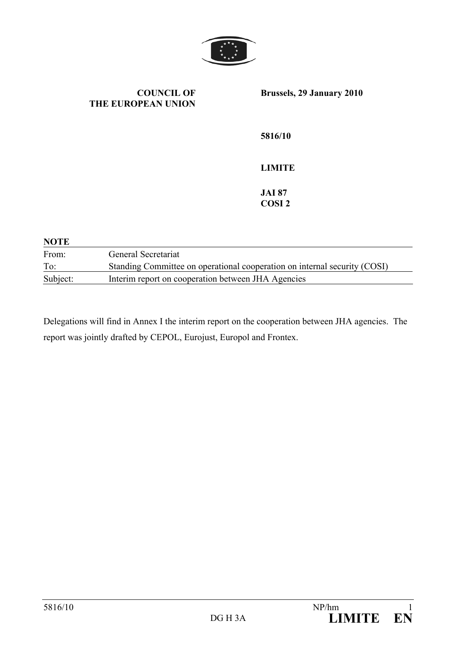

**COUNCIL OF THE EUROPEAN UNION Brussels, 29 January 2010 5816/10 LIMITE JAI 87 COSI 2 NOTE**  From: General Secretariat To: Standing Committee on operational cooperation on internal security (COSI)

Subject: Interim report on cooperation between JHA Agencies

Delegations will find in Annex I the interim report on the cooperation between JHA agencies. The report was jointly drafted by CEPOL, Eurojust, Europol and Frontex.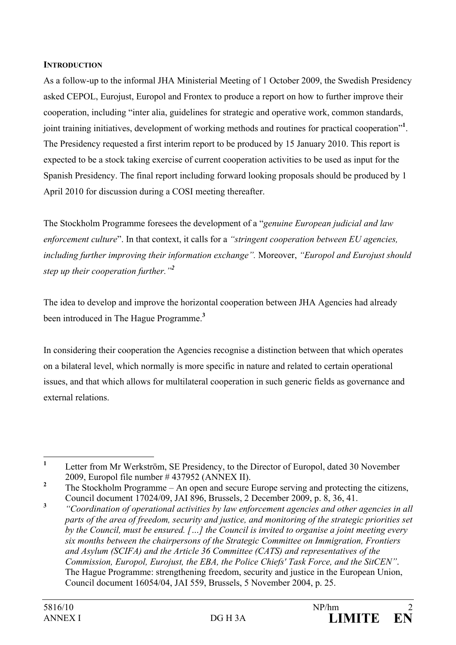#### **INTRODUCTION**

As a follow-up to the informal JHA Ministerial Meeting of 1 October 2009, the Swedish Presidency asked CEPOL, Eurojust, Europol and Frontex to produce a report on how to further improve their cooperation, including "inter alia, guidelines for strategic and operative work, common standards, joint training initiatives, development of working methods and routines for practical cooperation"**<sup>1</sup>** . The Presidency requested a first interim report to be produced by 15 January 2010. This report is expected to be a stock taking exercise of current cooperation activities to be used as input for the Spanish Presidency. The final report including forward looking proposals should be produced by 1 April 2010 for discussion during a COSI meeting thereafter.

The Stockholm Programme foresees the development of a "*genuine European judicial and law enforcement culture*". In that context, it calls for a *"stringent cooperation between EU agencies, including further improving their information exchange".* Moreover, *"Europol and Eurojust should step up their cooperation further."<sup>2</sup>* 

The idea to develop and improve the horizontal cooperation between JHA Agencies had already been introduced in The Hague Programme.**<sup>3</sup>**

In considering their cooperation the Agencies recognise a distinction between that which operates on a bilateral level, which normally is more specific in nature and related to certain operational issues, and that which allows for multilateral cooperation in such generic fields as governance and external relations.

 **1** Letter from Mr Werkström, SE Presidency, to the Director of Europol, dated 30 November 2009, Europol file number # 437952 (ANNEX II).

**<sup>2</sup>** The Stockholm Programme – An open and secure Europe serving and protecting the citizens, Council document 17024/09, JAI 896, Brussels, 2 December 2009, p. 8, 36, 41.

**<sup>3</sup>** *"Coordination of operational activities by law enforcement agencies and other agencies in all parts of the area of freedom, security and justice, and monitoring of the strategic priorities set by the Council, must be ensured. […] the Council is invited to organise a joint meeting every six months between the chairpersons of the Strategic Committee on Immigration, Frontiers and Asylum (SCIFA) and the Article 36 Committee (CATS) and representatives of the Commission, Europol, Eurojust, the EBA, the Police Chiefs' Task Force, and the SitCEN"*. The Hague Programme: strengthening freedom, security and justice in the European Union, Council document 16054/04, JAI 559, Brussels, 5 November 2004, p. 25.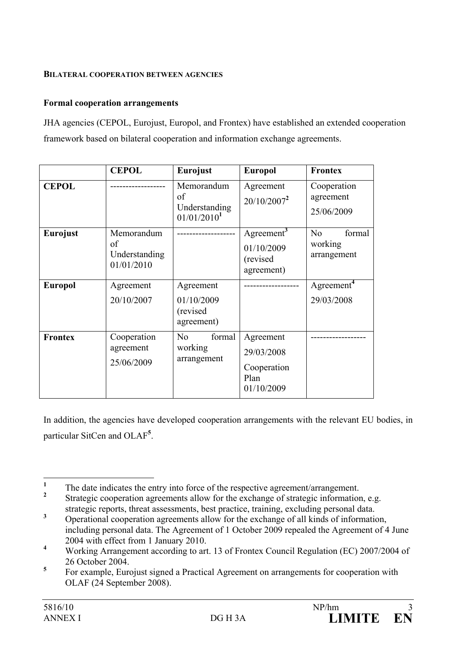#### **BILATERAL COOPERATION BETWEEN AGENCIES**

## **Formal cooperation arrangements**

JHA agencies (CEPOL, Eurojust, Europol, and Frontex) have established an extended cooperation framework based on bilateral cooperation and information exchange agreements.

|                 | <b>CEPOL</b>                                    | <b>Eurojust</b>                                              | <b>Europol</b>                                                 | <b>Frontex</b>                         |
|-----------------|-------------------------------------------------|--------------------------------------------------------------|----------------------------------------------------------------|----------------------------------------|
| <b>CEPOL</b>    |                                                 | Memorandum<br>of<br>Understanding<br>01/01/2010 <sup>1</sup> | Agreement<br>$20/10/2007^2$                                    | Cooperation<br>agreement<br>25/06/2009 |
| <b>Eurojust</b> | Memorandum<br>of<br>Understanding<br>01/01/2010 |                                                              | Agreement <sup>3</sup><br>01/10/2009<br>(revised<br>agreement) | formal<br>No<br>working<br>arrangement |
| <b>Europol</b>  | Agreement<br>20/10/2007                         | Agreement<br>01/10/2009<br>(revised)<br>agreement)           |                                                                | Agreement <sup>4</sup><br>29/03/2008   |
| <b>Frontex</b>  | Cooperation<br>agreement<br>25/06/2009          | No<br>formal<br>working<br>arrangement                       | Agreement<br>29/03/2008<br>Cooperation<br>Plan<br>01/10/2009   |                                        |

In addition, the agencies have developed cooperation arrangements with the relevant EU bodies, in particular SitCen and OLAF**<sup>5</sup>** .

 **1** The date indicates the entry into force of the respective agreement/arrangement.

**<sup>2</sup>** Strategic cooperation agreements allow for the exchange of strategic information, e.g. strategic reports, threat assessments, best practice, training, excluding personal data.

**<sup>3</sup>** Operational cooperation agreements allow for the exchange of all kinds of information, including personal data. The Agreement of 1 October 2009 repealed the Agreement of 4 June 2004 with effect from 1 January 2010.

**<sup>4</sup>** Working Arrangement according to art. 13 of Frontex Council Regulation (EC) 2007/2004 of 26 October 2004.

**<sup>5</sup>** For example, Eurojust signed a Practical Agreement on arrangements for cooperation with OLAF (24 September 2008).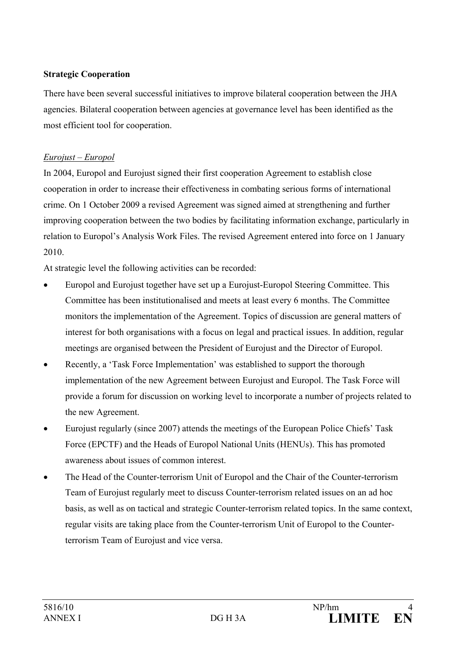## **Strategic Cooperation**

There have been several successful initiatives to improve bilateral cooperation between the JHA agencies. Bilateral cooperation between agencies at governance level has been identified as the most efficient tool for cooperation.

## *Eurojust – Europol*

In 2004, Europol and Eurojust signed their first cooperation Agreement to establish close cooperation in order to increase their effectiveness in combating serious forms of international crime. On 1 October 2009 a revised Agreement was signed aimed at strengthening and further improving cooperation between the two bodies by facilitating information exchange, particularly in relation to Europol's Analysis Work Files. The revised Agreement entered into force on 1 January 2010.

At strategic level the following activities can be recorded:

- Europol and Eurojust together have set up a Eurojust-Europol Steering Committee. This Committee has been institutionalised and meets at least every 6 months. The Committee monitors the implementation of the Agreement. Topics of discussion are general matters of interest for both organisations with a focus on legal and practical issues. In addition, regular meetings are organised between the President of Eurojust and the Director of Europol.
- Recently, a 'Task Force Implementation' was established to support the thorough implementation of the new Agreement between Eurojust and Europol. The Task Force will provide a forum for discussion on working level to incorporate a number of projects related to the new Agreement.
- Eurojust regularly (since 2007) attends the meetings of the European Police Chiefs' Task Force (EPCTF) and the Heads of Europol National Units (HENUs). This has promoted awareness about issues of common interest.
- The Head of the Counter-terrorism Unit of Europol and the Chair of the Counter-terrorism Team of Eurojust regularly meet to discuss Counter-terrorism related issues on an ad hoc basis, as well as on tactical and strategic Counter-terrorism related topics. In the same context, regular visits are taking place from the Counter-terrorism Unit of Europol to the Counterterrorism Team of Eurojust and vice versa.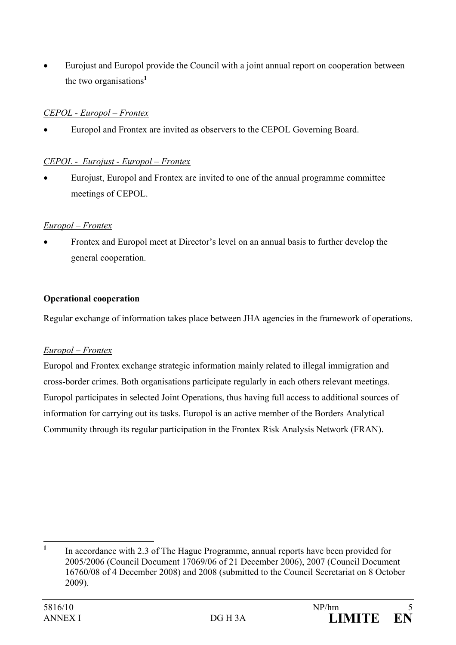• Eurojust and Europol provide the Council with a joint annual report on cooperation between the two organisations**<sup>1</sup>**

## *CEPOL - Europol – Frontex*

• Europol and Frontex are invited as observers to the CEPOL Governing Board.

## *CEPOL - Eurojust - Europol – Frontex*

• Eurojust, Europol and Frontex are invited to one of the annual programme committee meetings of CEPOL.

## *Europol – Frontex*

• Frontex and Europol meet at Director's level on an annual basis to further develop the general cooperation.

# **Operational cooperation**

Regular exchange of information takes place between JHA agencies in the framework of operations.

## *Europol – Frontex*

Europol and Frontex exchange strategic information mainly related to illegal immigration and cross-border crimes. Both organisations participate regularly in each others relevant meetings. Europol participates in selected Joint Operations, thus having full access to additional sources of information for carrying out its tasks. Europol is an active member of the Borders Analytical Community through its regular participation in the Frontex Risk Analysis Network (FRAN).

 **1** In accordance with 2.3 of The Hague Programme, annual reports have been provided for 2005/2006 (Council Document 17069/06 of 21 December 2006), 2007 (Council Document 16760/08 of 4 December 2008) and 2008 (submitted to the Council Secretariat on 8 October 2009).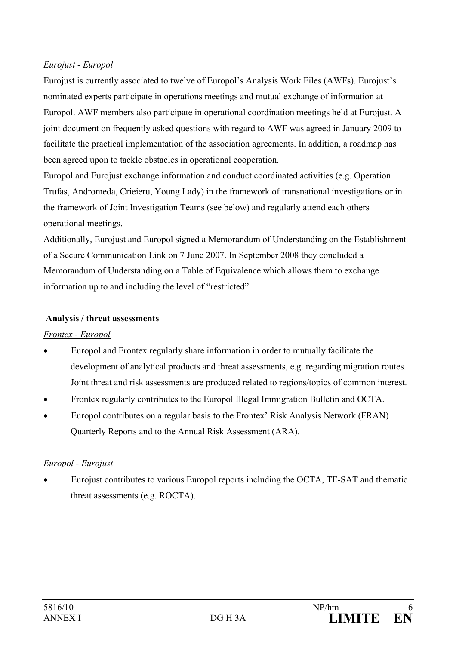## *Eurojust - Europol*

Eurojust is currently associated to twelve of Europol's Analysis Work Files (AWFs). Eurojust's nominated experts participate in operations meetings and mutual exchange of information at Europol. AWF members also participate in operational coordination meetings held at Eurojust. A joint document on frequently asked questions with regard to AWF was agreed in January 2009 to facilitate the practical implementation of the association agreements. In addition, a roadmap has been agreed upon to tackle obstacles in operational cooperation.

Europol and Eurojust exchange information and conduct coordinated activities (e.g. Operation Trufas, Andromeda, Crieieru, Young Lady) in the framework of transnational investigations or in the framework of Joint Investigation Teams (see below) and regularly attend each others operational meetings.

Additionally, Eurojust and Europol signed a Memorandum of Understanding on the Establishment of a Secure Communication Link on 7 June 2007. In September 2008 they concluded a Memorandum of Understanding on a Table of Equivalence which allows them to exchange information up to and including the level of "restricted".

## **Analysis / threat assessments**

# *Frontex - Europol*

- Europol and Frontex regularly share information in order to mutually facilitate the development of analytical products and threat assessments, e.g. regarding migration routes. Joint threat and risk assessments are produced related to regions/topics of common interest.
- Frontex regularly contributes to the Europol Illegal Immigration Bulletin and OCTA.
- Europol contributes on a regular basis to the Frontex' Risk Analysis Network (FRAN) Quarterly Reports and to the Annual Risk Assessment (ARA).

# *Europol - Eurojust*

• Eurojust contributes to various Europol reports including the OCTA, TE-SAT and thematic threat assessments (e.g. ROCTA).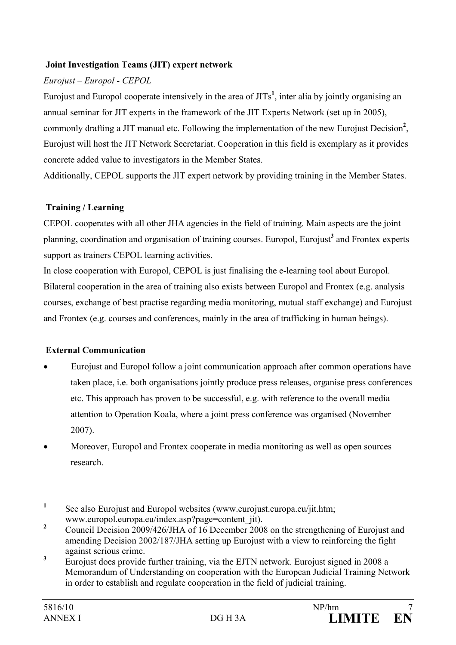### **Joint Investigation Teams (JIT) expert network**

## *Eurojust – Europol - CEPOL*

Eurojust and Europol cooperate intensively in the area of JITs**<sup>1</sup>** , inter alia by jointly organising an annual seminar for JIT experts in the framework of the JIT Experts Network (set up in 2005), commonly drafting a JIT manual etc. Following the implementation of the new Eurojust Decision**<sup>2</sup>** , Eurojust will host the JIT Network Secretariat. Cooperation in this field is exemplary as it provides concrete added value to investigators in the Member States.

Additionally, CEPOL supports the JIT expert network by providing training in the Member States.

#### **Training / Learning**

CEPOL cooperates with all other JHA agencies in the field of training. Main aspects are the joint planning, coordination and organisation of training courses. Europol, Eurojust<sup>3</sup> and Frontex experts support as trainers CEPOL learning activities.

In close cooperation with Europol, CEPOL is just finalising the e-learning tool about Europol. Bilateral cooperation in the area of training also exists between Europol and Frontex (e.g. analysis courses, exchange of best practise regarding media monitoring, mutual staff exchange) and Eurojust and Frontex (e.g. courses and conferences, mainly in the area of trafficking in human beings).

## **External Communication**

- Eurojust and Europol follow a joint communication approach after common operations have taken place, i.e. both organisations jointly produce press releases, organise press conferences etc. This approach has proven to be successful, e.g. with reference to the overall media attention to Operation Koala, where a joint press conference was organised (November 2007).
- Moreover, Europol and Frontex cooperate in media monitoring as well as open sources research.

 **1** See also Eurojust and Europol websites (www.eurojust.europa.eu/jit.htm; www.europol.europa.eu/index.asp?page=content\_jit).

**<sup>2</sup>** Council Decision 2009/426/JHA of 16 December 2008 on the strengthening of Eurojust and amending Decision 2002/187/JHA setting up Eurojust with a view to reinforcing the fight against serious crime.

**<sup>3</sup>** Eurojust does provide further training, via the EJTN network. Eurojust signed in 2008 a Memorandum of Understanding on cooperation with the European Judicial Training Network in order to establish and regulate cooperation in the field of judicial training.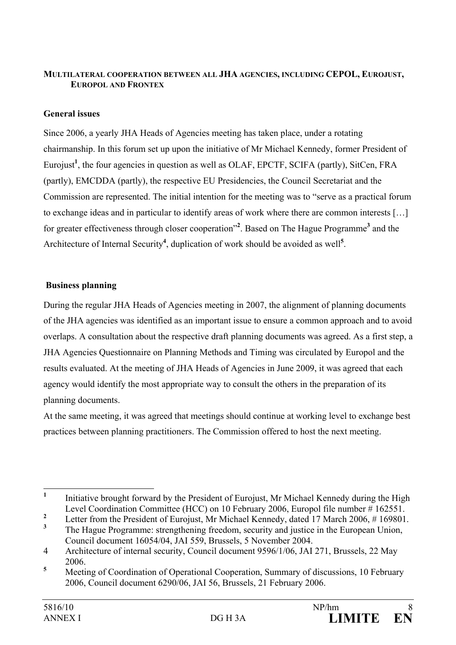## **MULTILATERAL COOPERATION BETWEEN ALL JHA AGENCIES, INCLUDING CEPOL, EUROJUST, EUROPOL AND FRONTEX**

## **General issues**

Since 2006, a yearly JHA Heads of Agencies meeting has taken place, under a rotating chairmanship. In this forum set up upon the initiative of Mr Michael Kennedy, former President of Eurojust<sup>1</sup>, the four agencies in question as well as OLAF, EPCTF, SCIFA (partly), SitCen, FRA (partly), EMCDDA (partly), the respective EU Presidencies, the Council Secretariat and the Commission are represented. The initial intention for the meeting was to "serve as a practical forum to exchange ideas and in particular to identify areas of work where there are common interests […] for greater effectiveness through closer cooperation"**<sup>2</sup>** . Based on The Hague Programme**<sup>3</sup>** and the Architecture of Internal Security<sup>4</sup>, duplication of work should be avoided as well<sup>5</sup>.

#### **Business planning**

During the regular JHA Heads of Agencies meeting in 2007, the alignment of planning documents of the JHA agencies was identified as an important issue to ensure a common approach and to avoid overlaps. A consultation about the respective draft planning documents was agreed. As a first step, a JHA Agencies Questionnaire on Planning Methods and Timing was circulated by Europol and the results evaluated. At the meeting of JHA Heads of Agencies in June 2009, it was agreed that each agency would identify the most appropriate way to consult the others in the preparation of its planning documents.

At the same meeting, it was agreed that meetings should continue at working level to exchange best practices between planning practitioners. The Commission offered to host the next meeting.

 **1** Initiative brought forward by the President of Eurojust, Mr Michael Kennedy during the High Level Coordination Committee (HCC) on 10 February 2006, Europol file number # 162551.

**<sup>2</sup>** Letter from the President of Eurojust, Mr Michael Kennedy, dated 17 March 2006, # 169801.

**<sup>3</sup>** The Hague Programme: strengthening freedom, security and justice in the European Union, Council document 16054/04, JAI 559, Brussels, 5 November 2004.

<sup>4</sup> Architecture of internal security, Council document 9596/1/06, JAI 271, Brussels, 22 May 2006.

**<sup>5</sup>** Meeting of Coordination of Operational Cooperation, Summary of discussions, 10 February 2006, Council document 6290/06, JAI 56, Brussels, 21 February 2006.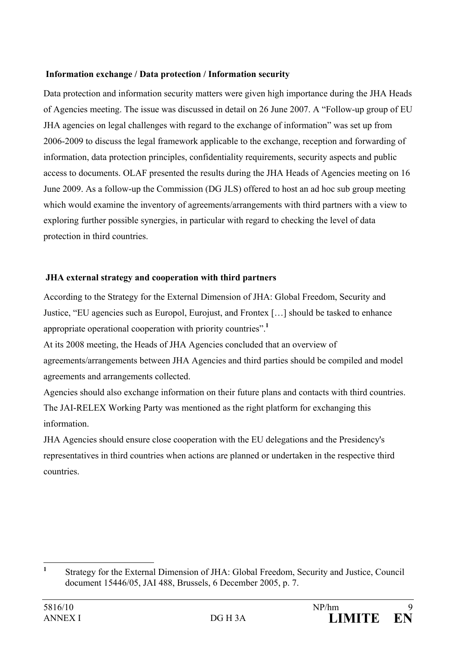## **Information exchange / Data protection / Information security**

Data protection and information security matters were given high importance during the JHA Heads of Agencies meeting. The issue was discussed in detail on 26 June 2007. A "Follow-up group of EU JHA agencies on legal challenges with regard to the exchange of information" was set up from 2006-2009 to discuss the legal framework applicable to the exchange, reception and forwarding of information, data protection principles, confidentiality requirements, security aspects and public access to documents. OLAF presented the results during the JHA Heads of Agencies meeting on 16 June 2009. As a follow-up the Commission (DG JLS) offered to host an ad hoc sub group meeting which would examine the inventory of agreements/arrangements with third partners with a view to exploring further possible synergies, in particular with regard to checking the level of data protection in third countries.

# **JHA external strategy and cooperation with third partners**

According to the Strategy for the External Dimension of JHA: Global Freedom, Security and Justice, "EU agencies such as Europol, Eurojust, and Frontex […] should be tasked to enhance appropriate operational cooperation with priority countries".**<sup>1</sup>**

At its 2008 meeting, the Heads of JHA Agencies concluded that an overview of agreements/arrangements between JHA Agencies and third parties should be compiled and model agreements and arrangements collected.

Agencies should also exchange information on their future plans and contacts with third countries. The JAI-RELEX Working Party was mentioned as the right platform for exchanging this information.

JHA Agencies should ensure close cooperation with the EU delegations and the Presidency's representatives in third countries when actions are planned or undertaken in the respective third countries.

 **1** Strategy for the External Dimension of JHA: Global Freedom, Security and Justice, Council document 15446/05, JAI 488, Brussels, 6 December 2005, p. 7.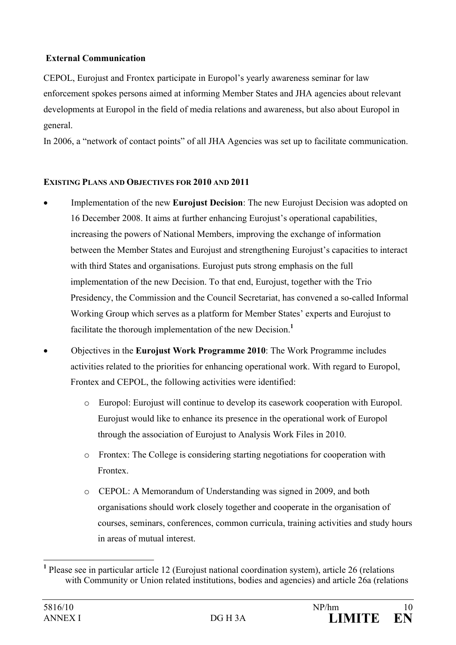## **External Communication**

CEPOL, Eurojust and Frontex participate in Europol's yearly awareness seminar for law enforcement spokes persons aimed at informing Member States and JHA agencies about relevant developments at Europol in the field of media relations and awareness, but also about Europol in general.

In 2006, a "network of contact points" of all JHA Agencies was set up to facilitate communication.

## **EXISTING PLANS AND OBJECTIVES FOR 2010 AND 2011**

- Implementation of the new **Eurojust Decision**: The new Eurojust Decision was adopted on 16 December 2008. It aims at further enhancing Eurojust's operational capabilities, increasing the powers of National Members, improving the exchange of information between the Member States and Eurojust and strengthening Eurojust's capacities to interact with third States and organisations. Eurojust puts strong emphasis on the full implementation of the new Decision. To that end, Eurojust, together with the Trio Presidency, the Commission and the Council Secretariat, has convened a so-called Informal Working Group which serves as a platform for Member States' experts and Eurojust to facilitate the thorough implementation of the new Decision.**<sup>1</sup>**
- Objectives in the **Eurojust Work Programme 2010**: The Work Programme includes activities related to the priorities for enhancing operational work. With regard to Europol, Frontex and CEPOL, the following activities were identified:
	- o Europol: Eurojust will continue to develop its casework cooperation with Europol. Eurojust would like to enhance its presence in the operational work of Europol through the association of Eurojust to Analysis Work Files in 2010.
	- o Frontex: The College is considering starting negotiations for cooperation with Frontex.
	- o CEPOL: A Memorandum of Understanding was signed in 2009, and both organisations should work closely together and cooperate in the organisation of courses, seminars, conferences, common curricula, training activities and study hours in areas of mutual interest.

 $\overline{a}$ 

<sup>&</sup>lt;sup>1</sup> Please see in particular article 12 (Eurojust national coordination system), article 26 (relations with Community or Union related institutions, bodies and agencies) and article 26a (relations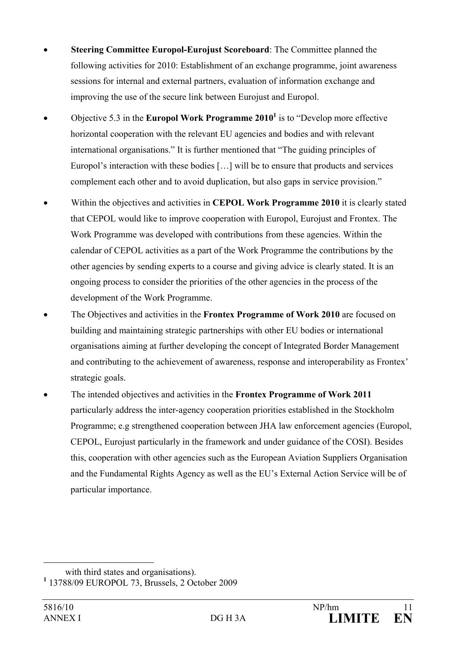- **Steering Committee Europol-Eurojust Scoreboard**: The Committee planned the following activities for 2010: Establishment of an exchange programme, joint awareness sessions for internal and external partners, evaluation of information exchange and improving the use of the secure link between Eurojust and Europol.
- Objective 5.3 in the **Europol Work Programme 2010**<sup>1</sup> is to "Develop more effective horizontal cooperation with the relevant EU agencies and bodies and with relevant international organisations." It is further mentioned that "The guiding principles of Europol's interaction with these bodies […] will be to ensure that products and services complement each other and to avoid duplication, but also gaps in service provision."
- Within the objectives and activities in **CEPOL Work Programme 2010** it is clearly stated that CEPOL would like to improve cooperation with Europol, Eurojust and Frontex. The Work Programme was developed with contributions from these agencies. Within the calendar of CEPOL activities as a part of the Work Programme the contributions by the other agencies by sending experts to a course and giving advice is clearly stated. It is an ongoing process to consider the priorities of the other agencies in the process of the development of the Work Programme.
- The Objectives and activities in the **Frontex Programme of Work 2010** are focused on building and maintaining strategic partnerships with other EU bodies or international organisations aiming at further developing the concept of Integrated Border Management and contributing to the achievement of awareness, response and interoperability as Frontex' strategic goals.
- The intended objectives and activities in the **Frontex Programme of Work 2011** particularly address the inter-agency cooperation priorities established in the Stockholm Programme; e.g strengthened cooperation between JHA law enforcement agencies (Europol, CEPOL, Eurojust particularly in the framework and under guidance of the COSI). Besides this, cooperation with other agencies such as the European Aviation Suppliers Organisation and the Fundamental Rights Agency as well as the EU's External Action Service will be of particular importance.

 $\overline{a}$ 

with third states and organisations).

**<sup>1</sup>** 13788/09 EUROPOL 73, Brussels, 2 October 2009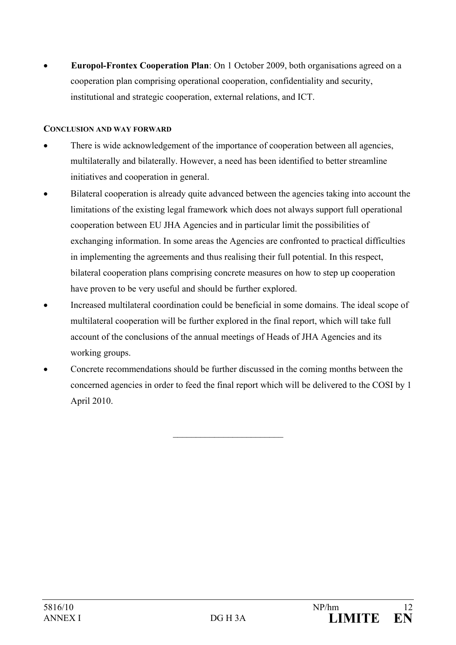• **Europol-Frontex Cooperation Plan**: On 1 October 2009, both organisations agreed on a cooperation plan comprising operational cooperation, confidentiality and security, institutional and strategic cooperation, external relations, and ICT.

#### **CONCLUSION AND WAY FORWARD**

- There is wide acknowledgement of the importance of cooperation between all agencies, multilaterally and bilaterally. However, a need has been identified to better streamline initiatives and cooperation in general.
- Bilateral cooperation is already quite advanced between the agencies taking into account the limitations of the existing legal framework which does not always support full operational cooperation between EU JHA Agencies and in particular limit the possibilities of exchanging information. In some areas the Agencies are confronted to practical difficulties in implementing the agreements and thus realising their full potential. In this respect, bilateral cooperation plans comprising concrete measures on how to step up cooperation have proven to be very useful and should be further explored.
- Increased multilateral coordination could be beneficial in some domains. The ideal scope of multilateral cooperation will be further explored in the final report, which will take full account of the conclusions of the annual meetings of Heads of JHA Agencies and its working groups.
- Concrete recommendations should be further discussed in the coming months between the concerned agencies in order to feed the final report which will be delivered to the COSI by 1 April 2010.

 $\overline{\phantom{a}}$  , where  $\overline{\phantom{a}}$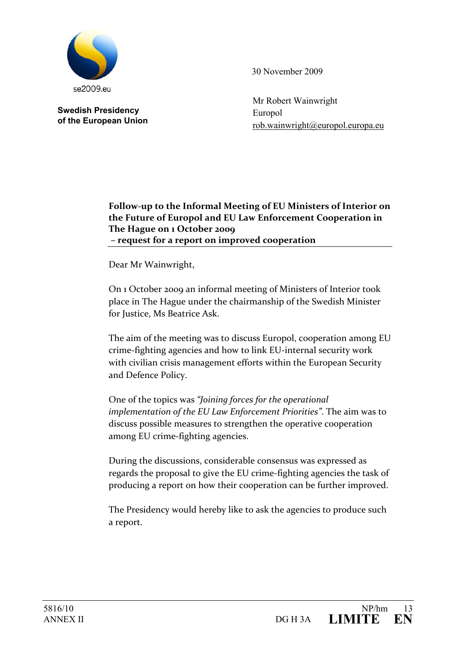

**Swedish Presidency of the European Union**  30 November 2009

Mr Robert Wainwright Europol rob.wainwright@europol.europa.eu

#### **Follow‐up to the Informal Meeting of EU Ministers of Interior on the Future of Europol and EU Law Enforcement Cooperation in The Hague on 1 October 2009 – request for a report on improved cooperation**

Dear Mr Wainwright,

On 1 October 2009 an informal meeting of Ministers of Interior took place in The Hague under the chairmanship of the Swedish Minister for Justice, Ms Beatrice Ask.

The aim of the meeting was to discuss Europol, cooperation among EU crime‐fighting agencies and how to link EU‐internal security work with civilian crisis management efforts within the European Security and Defence Policy.

One of the topics was *"Joining forces for the operational implementation of the EU Law Enforcement Priorities"*. The aim was to discuss possible measures to strengthen the operative cooperation among EU crime‐fighting agencies.

During the discussions, considerable consensus was expressed as regards the proposal to give the EU crime‐fighting agencies the task of producing a report on how their cooperation can be further improved.

The Presidency would hereby like to ask the agencies to produce such a report.